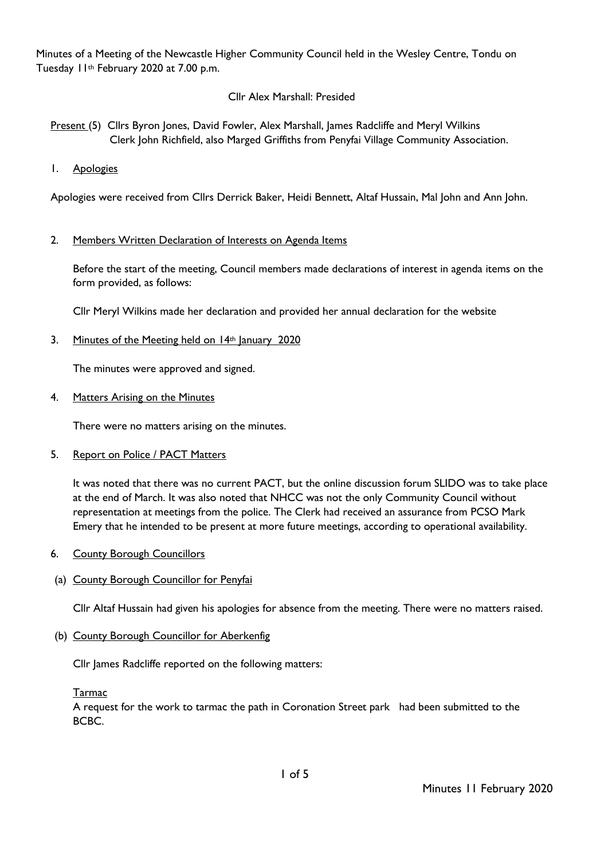Minutes of a Meeting of the Newcastle Higher Community Council held in the Wesley Centre, Tondu on Tuesday 11th February 2020 at 7.00 p.m.

# Cllr Alex Marshall: Presided

- Present (5) Cllrs Byron Jones, David Fowler, Alex Marshall, James Radcliffe and Meryl Wilkins Clerk John Richfield, also Marged Griffiths from Penyfai Village Community Association.
- 1. Apologies

Apologies were received from Cllrs Derrick Baker, Heidi Bennett, Altaf Hussain, Mal John and Ann John.

## 2. Members Written Declaration of Interests on Agenda Items

Before the start of the meeting, Council members made declarations of interest in agenda items on the form provided, as follows:

Cllr Meryl Wilkins made her declaration and provided her annual declaration for the website

3. Minutes of the Meeting held on 14th January 2020

The minutes were approved and signed.

4. Matters Arising on the Minutes

There were no matters arising on the minutes.

5. Report on Police / PACT Matters

It was noted that there was no current PACT, but the online discussion forum SLIDO was to take place at the end of March. It was also noted that NHCC was not the only Community Council without representation at meetings from the police. The Clerk had received an assurance from PCSO Mark Emery that he intended to be present at more future meetings, according to operational availability.

- 6. County Borough Councillors
- (a) County Borough Councillor for Penyfai

Cllr Altaf Hussain had given his apologies for absence from the meeting. There were no matters raised.

(b) County Borough Councillor for Aberkenfig

Cllr James Radcliffe reported on the following matters:

Tarmac

A request for the work to tarmac the path in Coronation Street park had been submitted to the BCBC.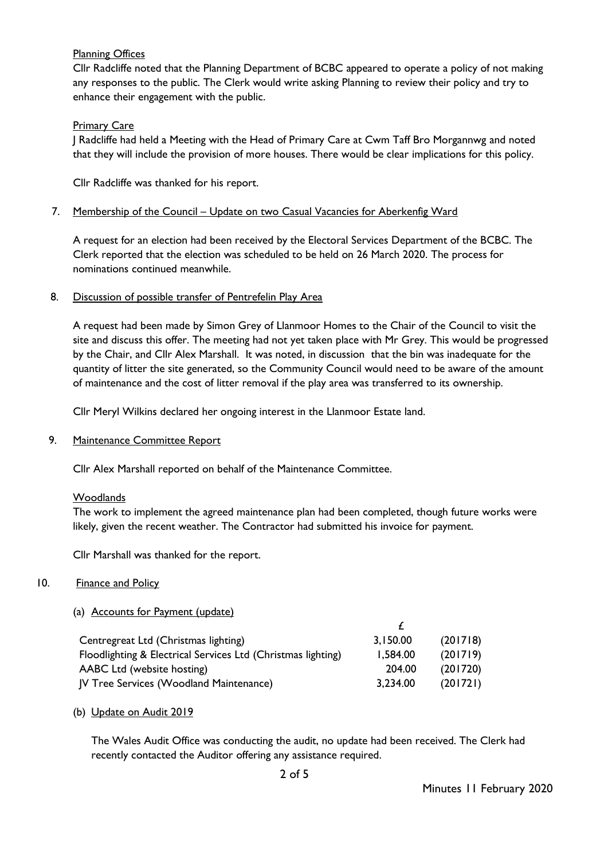# Planning Offices

Cllr Radcliffe noted that the Planning Department of BCBC appeared to operate a policy of not making any responses to the public. The Clerk would write asking Planning to review their policy and try to enhance their engagement with the public.

# **Primary Care**

J Radcliffe had held a Meeting with the Head of Primary Care at Cwm Taff Bro Morgannwg and noted that they will include the provision of more houses. There would be clear implications for this policy.

Cllr Radcliffe was thanked for his report.

#### 7. Membership of the Council – Update on two Casual Vacancies for Aberkenfig Ward

A request for an election had been received by the Electoral Services Department of the BCBC. The Clerk reported that the election was scheduled to be held on 26 March 2020. The process for nominations continued meanwhile.

#### 8. Discussion of possible transfer of Pentrefelin Play Area

A request had been made by Simon Grey of Llanmoor Homes to the Chair of the Council to visit the site and discuss this offer. The meeting had not yet taken place with Mr Grey. This would be progressed by the Chair, and Cllr Alex Marshall. It was noted, in discussion that the bin was inadequate for the quantity of litter the site generated, so the Community Council would need to be aware of the amount of maintenance and the cost of litter removal if the play area was transferred to its ownership.

Cllr Meryl Wilkins declared her ongoing interest in the Llanmoor Estate land.

## 9. Maintenance Committee Report

Cllr Alex Marshall reported on behalf of the Maintenance Committee.

#### **Woodlands**

The work to implement the agreed maintenance plan had been completed, though future works were likely, given the recent weather. The Contractor had submitted his invoice for payment.

Cllr Marshall was thanked for the report.

## 10. Finance and Policy

## (a) Accounts for Payment (update)

| Centregreat Ltd (Christmas lighting)                         | 3,150.00 | (201718) |
|--------------------------------------------------------------|----------|----------|
| Floodlighting & Electrical Services Ltd (Christmas lighting) | 1,584.00 | (201719) |
| AABC Ltd (website hosting)                                   | 204.00   | (201720) |
| JV Tree Services (Woodland Maintenance)                      | 3,234.00 | (201721) |

(b) Update on Audit 2019

The Wales Audit Office was conducting the audit, no update had been received. The Clerk had recently contacted the Auditor offering any assistance required.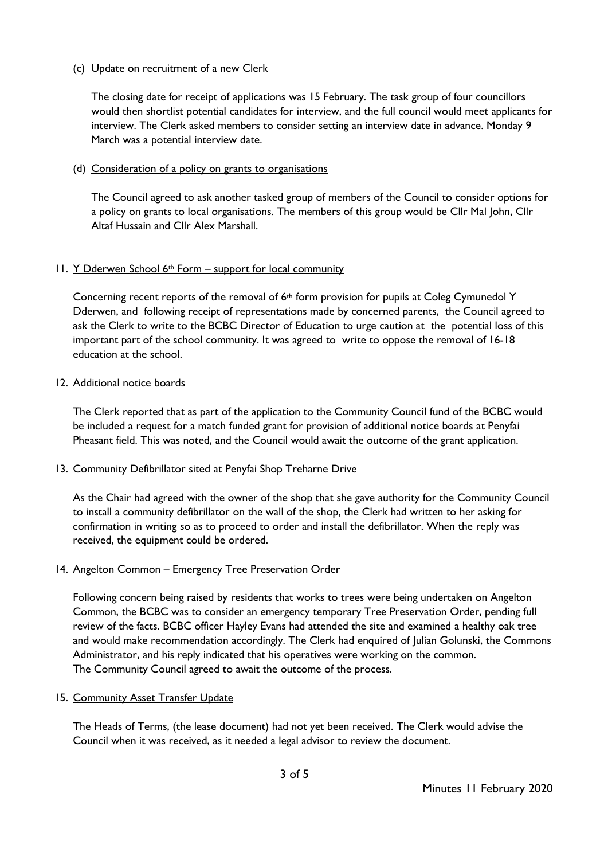## (c) Update on recruitment of a new Clerk

The closing date for receipt of applications was 15 February. The task group of four councillors would then shortlist potential candidates for interview, and the full council would meet applicants for interview. The Clerk asked members to consider setting an interview date in advance. Monday 9 March was a potential interview date.

## (d) Consideration of a policy on grants to organisations

The Council agreed to ask another tasked group of members of the Council to consider options for a policy on grants to local organisations. The members of this group would be Cllr Mal John, Cllr Altaf Hussain and Cllr Alex Marshall.

## 11. Y Dderwen School 6th Form – support for local community

Concerning recent reports of the removal of  $6<sup>th</sup>$  form provision for pupils at Coleg Cymunedol Y Dderwen, and following receipt of representations made by concerned parents, the Council agreed to ask the Clerk to write to the BCBC Director of Education to urge caution at the potential loss of this important part of the school community. It was agreed to write to oppose the removal of 16-18 education at the school.

## 12. Additional notice boards

The Clerk reported that as part of the application to the Community Council fund of the BCBC would be included a request for a match funded grant for provision of additional notice boards at Penyfai Pheasant field. This was noted, and the Council would await the outcome of the grant application.

## 13. Community Defibrillator sited at Penyfai Shop Treharne Drive

As the Chair had agreed with the owner of the shop that she gave authority for the Community Council to install a community defibrillator on the wall of the shop, the Clerk had written to her asking for confirmation in writing so as to proceed to order and install the defibrillator. When the reply was received, the equipment could be ordered.

## 14. Angelton Common – Emergency Tree Preservation Order

Following concern being raised by residents that works to trees were being undertaken on Angelton Common, the BCBC was to consider an emergency temporary Tree Preservation Order, pending full review of the facts. BCBC officer Hayley Evans had attended the site and examined a healthy oak tree and would make recommendation accordingly. The Clerk had enquired of Julian Golunski, the Commons Administrator, and his reply indicated that his operatives were working on the common. The Community Council agreed to await the outcome of the process.

## 15. Community Asset Transfer Update

The Heads of Terms, (the lease document) had not yet been received. The Clerk would advise the Council when it was received, as it needed a legal advisor to review the document.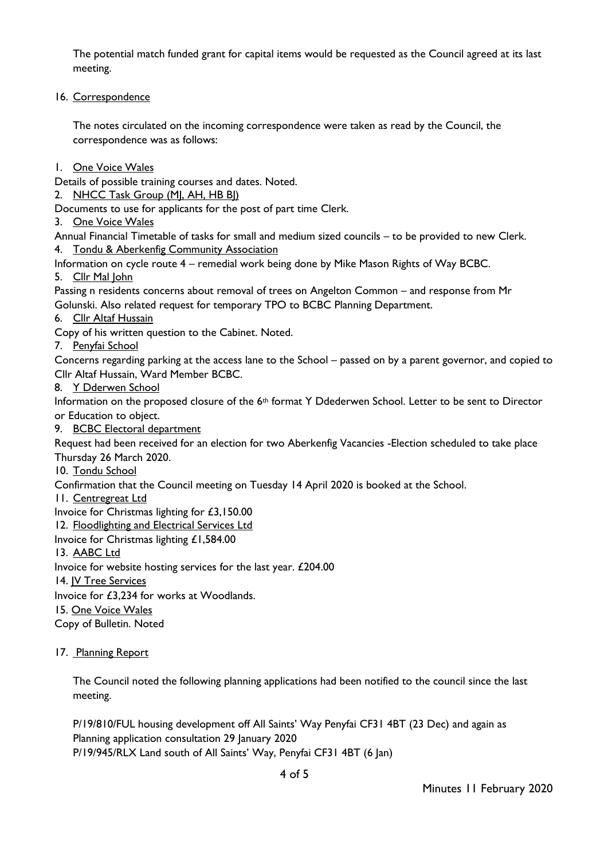The potential match funded grant for capital items would be requested as the Council agreed at its last meeting.

16. Correspondence

The notes circulated on the incoming correspondence were taken as read by the Council, the correspondence was as follows:

1. One Voice Wales

Details of possible training courses and dates. Noted.

2. NHCC Task Group (MJ, AH, HB BI)

Documents to use for applicants for the post of part time Clerk.

3. One Voice Wales

Annual Financial Timetable of tasks for small and medium sized councils – to be provided to new Clerk. 4. Tondu & Aberkenfig Community Association

Information on cycle route 4 – remedial work being done by Mike Mason Rights of Way BCBC.

5. Cllr Mal John

Passing n residents concerns about removal of trees on Angelton Common – and response from Mr Golunski. Also related request for temporary TPO to BCBC Planning Department.

6. Cllr Altaf Hussain

Copy of his written question to the Cabinet. Noted.

7. Penyfai School

Concerns regarding parking at the access lane to the School – passed on by a parent governor, and copied to Cllr Altaf Hussain, Ward Member BCBC.

8. Y Dderwen School

Information on the proposed closure of the 6<sup>th</sup> format Y Ddederwen School. Letter to be sent to Director or Education to object.

9. BCBC Electoral department

Request had been received for an election for two Aberkenfig Vacancies -Election scheduled to take place Thursday 26 March 2020.

10. Tondu School

Confirmation that the Council meeting on Tuesday 14 April 2020 is booked at the School.

11. Centregreat Ltd

Invoice for Christmas lighting for £3,150.00

12. Floodlighting and Electrical Services Ltd

Invoice for Christmas lighting £1,584.00

13. AABC Ltd

Invoice for website hosting services for the last year. £204.00

14. JV Tree Services

Invoice for £3,234 for works at Woodlands.

15. One Voice Wales

Copy of Bulletin. Noted

17. Planning Report

The Council noted the following planning applications had been notified to the council since the last meeting.

P/19/810/FUL housing development off All Saints' Way Penyfai CF31 4BT (23 Dec) and again as Planning application consultation 29 January 2020 P/19/945/RLX Land south of All Saints' Way, Penyfai CF31 4BT (6 Jan)